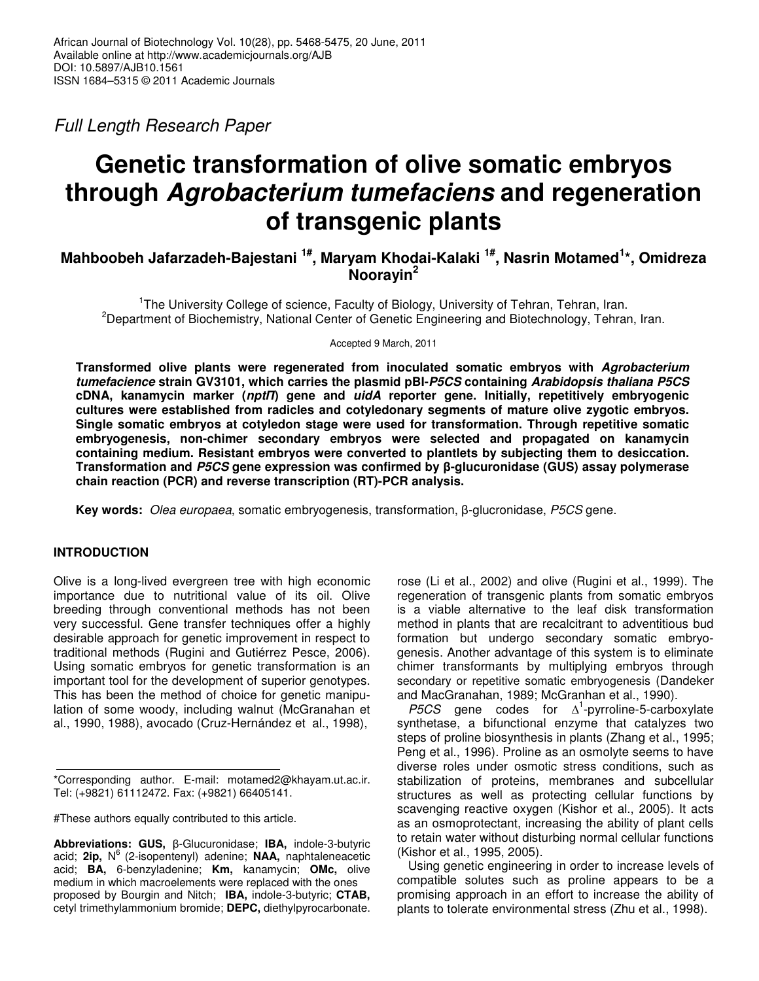*Full Length Research Paper*

# **Genetic transformation of olive somatic embryos through** *Agrobacterium tumefaciens* **and regeneration of transgenic plants**

**Mahboobeh Jafarzadeh-Bajestani 1# , Maryam Khodai-Kalaki 1# , Nasrin Motamed 1 \*, Omidreza Noorayin 2**

<sup>1</sup>The University College of science, Faculty of Biology, University of Tehran, Tehran, Iran. <sup>2</sup>Department of Biochemistry, National Center of Genetic Engineering and Biotechnology, Tehran, Iran.

Accepted 9 March, 2011

**Transformed olive plants were regenerated from inoculated somatic embryos with** *Agrobacterium tumefacience* **strain GV3101, which carries the plasmid pBI-***P5CS* **containing** *Arabidopsis thaliana P5CS* **cDNA, kanamycin marker (***npt***) gene and** *uidA* **reporter gene. Initially, repetitively embryogenic cultures were established from radicles and cotyledonary segments of mature olive zygotic embryos. Single somatic embryos at cotyledon stage were used for transformation. Through repetitive somatic embryogenesis, non-chimer secondary embryos were selected and propagated on kanamycin containing medium. Resistant embryos were converted to plantlets by subjecting them to desiccation. Transformation and** *P5CS* **gene expression was confirmed by -glucuronidase (GUS) assay polymerase chain reaction (PCR) and reverse transcription (RT)-PCR analysis.**

**Key words:** *Olea europaea*, somatic embryogenesis, transformation, β-glucronidase, *P5CS* gene.

## **INTRODUCTION**

Olive is a long-lived evergreen tree with high economic importance due to nutritional value of its oil. Olive breeding through conventional methods has not been very successful. Gene transfer techniques offer a highly desirable approach for genetic improvement in respect to traditional methods (Rugini and Gutiérrez Pesce, 2006). Using somatic embryos for genetic transformation is an important tool for the development of superior genotypes. This has been the method of choice for genetic manipulation of some woody, including walnut (McGranahan et al., 1990, 1988), avocado (Cruz-Hernández et al., 1998),

#These authors equally contributed to this article.

rose (Li et al., 2002) and olive (Rugini et al., 1999). The regeneration of transgenic plants from somatic embryos is a viable alternative to the leaf disk transformation method in plants that are recalcitrant to adventitious bud formation but undergo secondary somatic embryogenesis. Another advantage of this system is to eliminate chimer transformants by multiplying embryos through secondary or repetitive somatic embryogenesis (Dandeker and MacGranahan, 1989; McGranhan et al., 1990).

*P5CS* gene codes for  $\Delta^1$ -pyrroline-5-carboxylate synthetase, a bifunctional enzyme that catalyzes two steps of proline biosynthesis in plants (Zhang et al., 1995; Peng et al., 1996). Proline as an osmolyte seems to have diverse roles under osmotic stress conditions, such as stabilization of proteins, membranes and subcellular structures as well as protecting cellular functions by scavenging reactive oxygen (Kishor et al., 2005). It acts as an osmoprotectant, increasing the ability of plant cells to retain water without disturbing normal cellular functions (Kishor et al., 1995, 2005).

Using genetic engineering in order to increase levels of compatible solutes such as proline appears to be a promising approach in an effort to increase the ability of plants to tolerate environmental stress (Zhu et al., 1998).

<sup>\*</sup>Corresponding author. E-mail: motamed2@khayam.ut.ac.ir. Tel: (+9821) 61112472. Fax: (+9821) 66405141.

**Abbreviations: GUS, β-Glucuronidase; IBA, indole-3-butyric** acid; **2ip,** N 6 (2-isopentenyl) adenine; **NAA,** naphtaleneacetic acid; **BA,** 6-benzyladenine; **Km,** kanamycin; **OMc,** olive medium in which macroelements were replaced with the ones proposed by Bourgin and Nitch; **IBA,** indole-3-butyric; **CTAB,** cetyl trimethylammonium bromide; **DEPC,** diethylpyrocarbonate.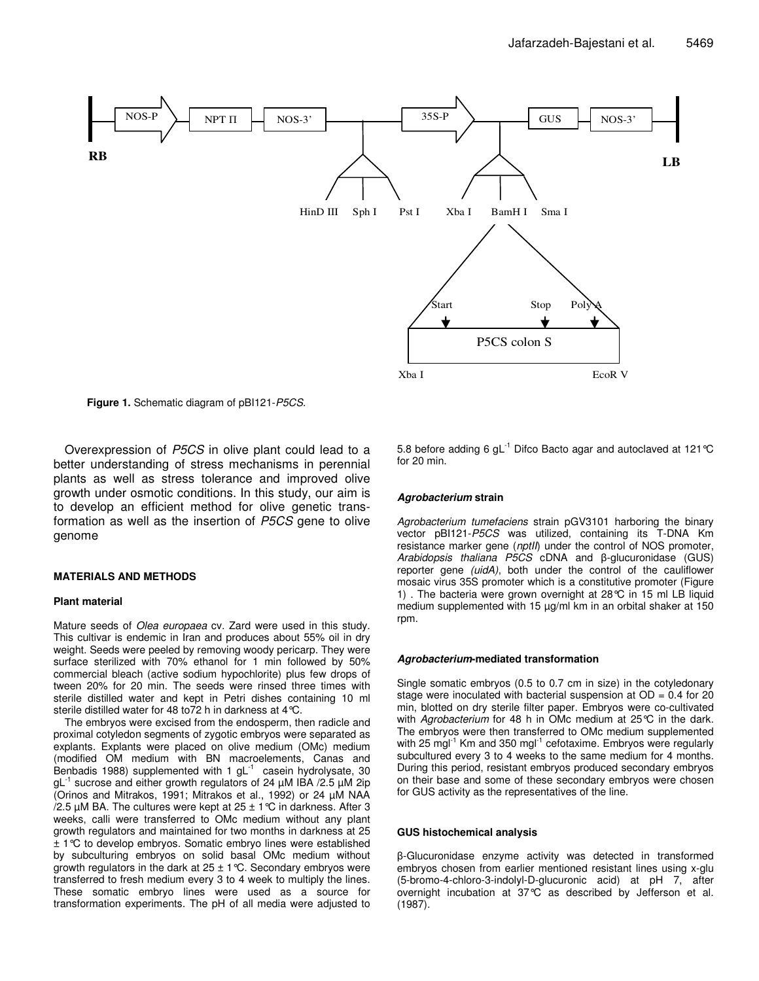

**Figure 1.** Schematic diagram of pBI121-*P5CS.*

Overexpression of *P5CS* in olive plant could lead to a better understanding of stress mechanisms in perennial plants as well as stress tolerance and improved olive growth under osmotic conditions. In this study, our aim is to develop an efficient method for olive genetic transformation as well as the insertion of *P5CS* gene to olive genome

## **MATERIALS AND METHODS**

## **Plant material**

Mature seeds of *Olea europaea* cv. Zard were used in this study. This cultivar is endemic in Iran and produces about 55% oil in dry weight. Seeds were peeled by removing woody pericarp. They were surface sterilized with 70% ethanol for 1 min followed by 50% commercial bleach (active sodium hypochlorite) plus few drops of tween 20% for 20 min. The seeds were rinsed three times with sterile distilled water and kept in Petri dishes containing 10 ml sterile distilled water for 48 to72 h in darkness at 4°C.

The embryos were excised from the endosperm, then radicle and proximal cotyledon segments of zygotic embryos were separated as explants. Explants were placed on olive medium (OMc) medium (modified OM medium with BN macroelements, Canas and Benbadis 1988) supplemented with 1  $gL^{-1}$  casein hydrolysate, 30 gL -1 sucrose and either growth regulators of 24 µM IBA /2.5 µM 2ip (Orinos and Mitrakos, 1991; Mitrakos et al., 1992) or 24 µM NAA /2.5  $\mu$ M BA. The cultures were kept at 25  $\pm$  1 °C in darkness. After 3 weeks, calli were transferred to OMc medium without any plant growth regulators and maintained for two months in darkness at 25 ± 1°C to develop embryos. Somatic embryo lines were established by subculturing embryos on solid basal OMc medium without growth regulators in the dark at  $25 \pm 1$  °C. Secondary embryos were transferred to fresh medium every 3 to 4 week to multiply the lines. These somatic embryo lines were used as a source for transformation experiments. The pH of all media were adjusted to

5.8 before adding 6 gL $^{-1}$  Difco Bacto agar and autoclaved at 121 °C for 20 min.

## *Agrobacterium* **strain**

*Agrobacterium tumefaciens* strain pGV3101 harboring the binary vector pBI121-*P5CS* was utilized, containing its T-DNA Km resistance marker gene (*nptII*) under the control of NOS promoter, Arabidopsis *thaliana P5CS* cDNA and β-glucuronidase (GUS) reporter gene *(uidA)*, both under the control of the cauliflower mosaic virus 35S promoter which is a constitutive promoter (Figure 1) . The bacteria were grown overnight at 28°C in 15 ml LB liquid medium supplemented with 15 µg/ml km in an orbital shaker at 150 rpm.

## *Agrobacterium***-mediated transformation**

Single somatic embryos (0.5 to 0.7 cm in size) in the cotyledonary stage were inoculated with bacterial suspension at  $OD = 0.4$  for 20 min, blotted on dry sterile filter paper. Embryos were co-cultivated with *Agrobacterium* for 48 h in OMc medium at 25°C in the dark. The embryos were then transferred to OMc medium supplemented with 25 mgl<sup>-1</sup> Km and 350 mgl<sup>-1</sup> cefotaxime. Embryos were regularly subcultured every 3 to 4 weeks to the same medium for 4 months. During this period, resistant embryos produced secondary embryos on their base and some of these secondary embryos were chosen for GUS activity as the representatives of the line.

## **GUS histochemical analysis**

-Glucuronidase enzyme activity was detected in transformed embryos chosen from earlier mentioned resistant lines using x-glu (5-bromo-4-chloro-3-indolyl-D-glucuronic acid) at pH 7, after overnight incubation at 37°C as described by Jefferson et al. (1987).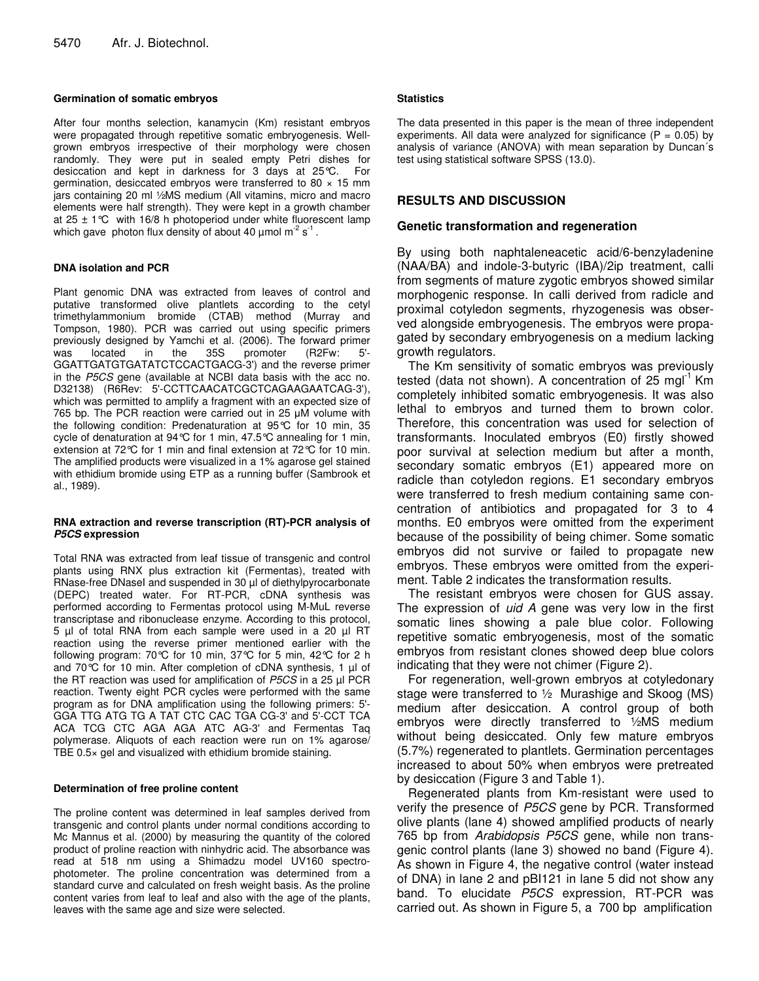## **Germination of somatic embryos**

After four months selection, kanamycin (Km) resistant embryos were propagated through repetitive somatic embryogenesis. Wellgrown embryos irrespective of their morphology were chosen randomly. They were put in sealed empty Petri dishes for desiccation and kept in darkness for 3 days at 25°C. For germination, desiccated embryos were transferred to 80  $\times$  15 mm jars containing 20 ml ½MS medium (All vitamins, micro and macro elements were half strength). They were kept in a growth chamber at  $25 \pm 1^{\circ}$ C with 16/8 h photoperiod under white fluorescent lamp which gave photon flux density of about 40  $\mu$ mol m<sup>-2</sup> s<sup>-1</sup>.

## **DNA isolation and PCR**

Plant genomic DNA was extracted from leaves of control and putative transformed olive plantlets according to the cetyl trimethylammonium bromide (CTAB) method (Murray and Tompson, 1980). PCR was carried out using specific primers previously designed by Yamchi et al. (2006). The forward primer was located in the 35S promoter (R2Fw: 5'- GGATTGATGTGATATCTCCACTGACG-3') and the reverse primer in the *P5CS* gene (available at NCBI data basis with the acc no. D32138) (R6Rev: 5'-CCTTCAACATCGCTCAGAAGAATCAG-3'), which was permitted to amplify a fragment with an expected size of 765 bp. The PCR reaction were carried out in 25  $\mu$ M volume with the following condition: Predenaturation at 95°C for 10 min, 35 cycle of denaturation at 94°C for 1 min, 47.5°C annealing for 1 min, extension at 72°C for 1 min and final extension at 72°C for 10 min. The amplified products were visualized in a 1% agarose gel stained with ethidium bromide using ETP as a running buffer (Sambrook et al., 1989).

## **RNA extraction and reverse transcription (RT)-PCR analysis of** *P5CS* **expression**

Total RNA was extracted from leaf tissue of transgenic and control plants using RNX plus extraction kit (Fermentas), treated with RNase-free DNasel and suspended in 30 µl of diethylpyrocarbonate (DEPC) treated water. For RT-PCR, cDNA synthesis was performed according to Fermentas protocol using M-MuL reverse transcriptase and ribonuclease enzyme. According to this protocol, 5 µl of total RNA from each sample were used in a 20 µl RT reaction using the reverse primer mentioned earlier with the following program: 70°C for 10 min, 37°C for 5 min, 42°C for 2 h and 70 $\degree$ C for 10 min. After completion of cDNA synthesis, 1  $\mu$ l of the RT reaction was used for amplification of *P5CS* in a 25 µl PCR reaction. Twenty eight PCR cycles were performed with the same program as for DNA amplification using the following primers: 5'- GGA TTG ATG TG A TAT CTC CAC TGA CG-3' and 5'-CCT TCA ACA TCG CTC AGA AGA ATC AG-3' and Fermentas Taq polymerase. Aliquots of each reaction were run on 1% agarose/ TBE 0.5× gel and visualized with ethidium bromide staining.

## **Determination of free proline content**

The proline content was determined in leaf samples derived from transgenic and control plants under normal conditions according to Mc Mannus et al. (2000) by measuring the quantity of the colored product of proline reaction with ninhydric acid. The absorbance was read at 518 nm using a Shimadzu model UV160 spectrophotometer. The proline concentration was determined from a standard curve and calculated on fresh weight basis. As the proline content varies from leaf to leaf and also with the age of the plants, leaves with the same age and size were selected.

## **Statistics**

The data presented in this paper is the mean of three independent experiments. All data were analyzed for significance ( $P = 0.05$ ) by analysis of variance (ANOVA) with mean separation by Duncan´s test using statistical software SPSS (13.0).

# **RESULTS AND DISCUSSION**

## **Genetic transformation and regeneration**

By using both naphtaleneacetic acid/6-benzyladenine (NAA/BA) and indole-3-butyric (IBA)/2ip treatment, calli from segments of mature zygotic embryos showed similar morphogenic response. In calli derived from radicle and proximal cotyledon segments, rhyzogenesis was observed alongside embryogenesis. The embryos were propagated by secondary embryogenesis on a medium lacking growth regulators.

The Km sensitivity of somatic embryos was previously tested (data not shown). A concentration of 25 mgl<sup>-1</sup> Km completely inhibited somatic embryogenesis. It was also lethal to embryos and turned them to brown color. Therefore, this concentration was used for selection of transformants. Inoculated embryos (E0) firstly showed poor survival at selection medium but after a month, secondary somatic embryos (E1) appeared more on radicle than cotyledon regions. E1 secondary embryos were transferred to fresh medium containing same concentration of antibiotics and propagated for 3 to 4 months. E0 embryos were omitted from the experiment because of the possibility of being chimer. Some somatic embryos did not survive or failed to propagate new embryos. These embryos were omitted from the experiment. Table 2 indicates the transformation results.

The resistant embryos were chosen for GUS assay. The expression of *uid A* gene was very low in the first somatic lines showing a pale blue color. Following repetitive somatic embryogenesis, most of the somatic embryos from resistant clones showed deep blue colors indicating that they were not chimer (Figure 2).

For regeneration, well-grown embryos at cotyledonary stage were transferred to ½ Murashige and Skoog (MS) medium after desiccation. A control group of both embryos were directly transferred to ½MS medium without being desiccated. Only few mature embryos (5.7%) regenerated to plantlets. Germination percentages increased to about 50% when embryos were pretreated by desiccation (Figure 3 and Table 1).

Regenerated plants from Km-resistant were used to verify the presence of *P5CS* gene by PCR. Transformed olive plants (lane 4) showed amplified products of nearly 765 bp from *Arabidopsis P5CS* gene, while non transgenic control plants (lane 3) showed no band (Figure 4). As shown in Figure 4, the negative control (water instead of DNA) in lane 2 and pBI121 in lane 5 did not show any band. To elucidate *P5CS* expression, RT-PCR was carried out. As shown in Figure 5, a 700 bp amplification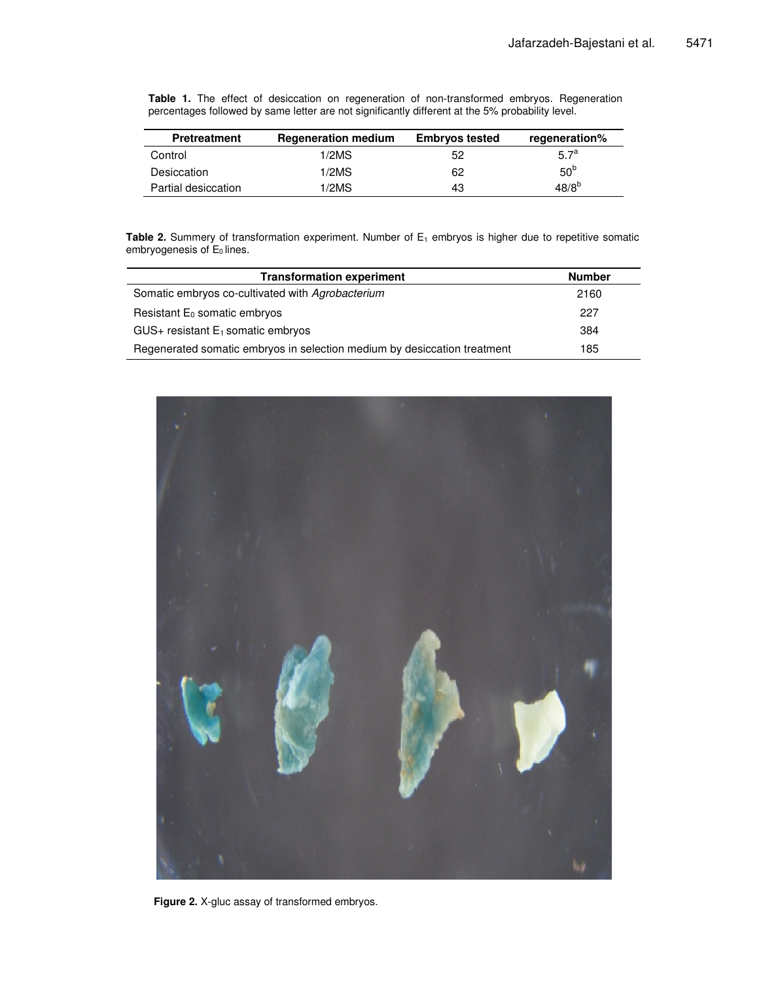**Table 1.** The effect of desiccation on regeneration of non-transformed embryos. Regeneration percentages followed by same letter are not significantly different at the 5% probability level.

| <b>Pretreatment</b> | <b>Regeneration medium</b> | <b>Embryos tested</b> | regeneration%    |
|---------------------|----------------------------|-----------------------|------------------|
| Control             | 1/2MS                      | 52                    | 5.7 <sup>a</sup> |
| Desiccation         | 1/2MS                      | 62                    | 50 <sup>b</sup>  |
| Partial desiccation | 1/2MS                      | 43                    | $48/8^{b}$       |

**Table 2.** Summery of transformation experiment. Number of E<sub>1</sub> embryos is higher due to repetitive somatic embryogenesis of  $E_0$  lines.

| <b>Transformation experiment</b>                                         | <b>Number</b> |
|--------------------------------------------------------------------------|---------------|
| Somatic embryos co-cultivated with Agrobacterium                         | 2160          |
| Resistant $E_0$ somatic embryos                                          | 227           |
| $GUS +$ resistant $E_1$ somatic embryos                                  | 384           |
| Regenerated somatic embryos in selection medium by desiccation treatment | 185           |



**Figure 2.** X-gluc assay of transformed embryos.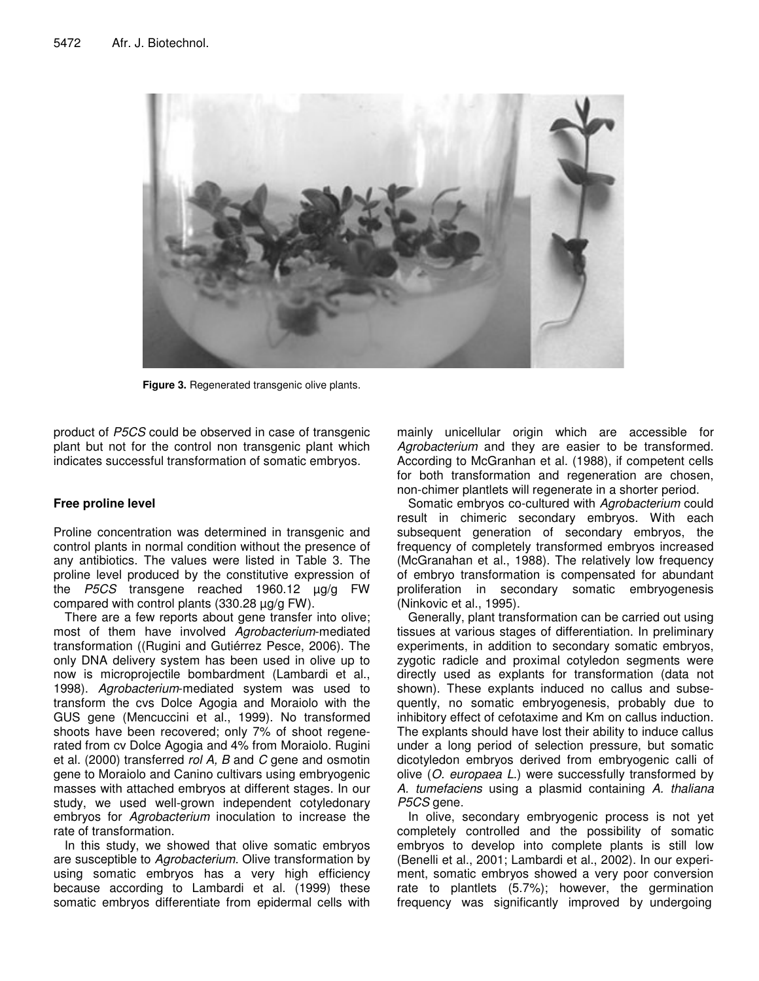

**Figure 3.** Regenerated transgenic olive plants.

product of *P5CS* could be observed in case of transgenic plant but not for the control non transgenic plant which indicates successful transformation of somatic embryos.

# **Free proline level**

Proline concentration was determined in transgenic and control plants in normal condition without the presence of any antibiotics. The values were listed in Table 3. The proline level produced by the constitutive expression of the *P5CS* transgene reached 1960.12 µg/g FW compared with control plants (330.28 µg/g FW).

There are a few reports about gene transfer into olive; most of them have involved *Agrobacterium*-mediated transformation ((Rugini and Gutiérrez Pesce, 2006). The only DNA delivery system has been used in olive up to now is microprojectile bombardment (Lambardi et al., 1998). *Agrobacterium*-mediated system was used to transform the cvs Dolce Agogia and Moraiolo with the GUS gene (Mencuccini et al., 1999). No transformed shoots have been recovered; only 7% of shoot regenerated from cv Dolce Agogia and 4% from Moraiolo. Rugini et al. (2000) transferred *rol A, B* and *C* gene and osmotin gene to Moraiolo and Canino cultivars using embryogenic masses with attached embryos at different stages. In our study, we used well-grown independent cotyledonary embryos for *Agrobacterium* inoculation to increase the rate of transformation.

In this study, we showed that olive somatic embryos are susceptible to *Agrobacterium*. Olive transformation by using somatic embryos has a very high efficiency because according to Lambardi et al. (1999) these somatic embryos differentiate from epidermal cells with

mainly unicellular origin which are accessible for *Agrobacterium* and they are easier to be transformed. According to McGranhan et al. (1988), if competent cells for both transformation and regeneration are chosen, non-chimer plantlets will regenerate in a shorter period.

Somatic embryos co-cultured with *Agrobacterium* could result in chimeric secondary embryos. With each subsequent generation of secondary embryos, the frequency of completely transformed embryos increased (McGranahan et al., 1988). The relatively low frequency of embryo transformation is compensated for abundant proliferation in secondary somatic embryogenesis (Ninkovic et al., 1995).

Generally, plant transformation can be carried out using tissues at various stages of differentiation. In preliminary experiments, in addition to secondary somatic embryos, zygotic radicle and proximal cotyledon segments were directly used as explants for transformation (data not shown). These explants induced no callus and subsequently, no somatic embryogenesis, probably due to inhibitory effect of cefotaxime and Km on callus induction. The explants should have lost their ability to induce callus under a long period of selection pressure, but somatic dicotyledon embryos derived from embryogenic calli of olive (*O. europaea L*.) were successfully transformed by *A. tumefaciens* using a plasmid containing *A. thaliana P5CS* gene

In olive, secondary embryogenic process is not yet completely controlled and the possibility of somatic embryos to develop into complete plants is still low (Benelli et al., 2001; Lambardi et al., 2002). In our experiment, somatic embryos showed a very poor conversion rate to plantlets (5.7%); however, the germination frequency was significantly improved by undergoing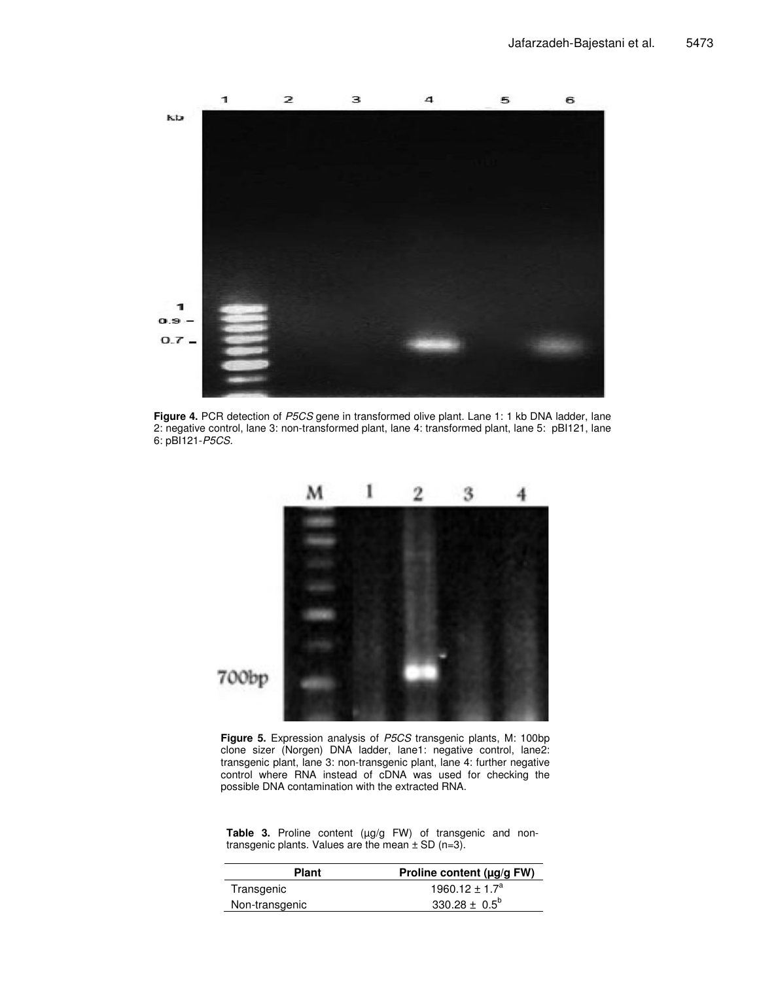

**Figure 4.** PCR detection of *P5CS* gene in transformed olive plant. Lane 1: 1 kb DNA ladder, lane 2: negative control, lane 3: non-transformed plant, lane 4: transformed plant, lane 5: pBI121, lane 6: pBI121-*P5CS.*



**Figure 5.** Expression analysis of *P5CS* transgenic plants, M: 100bp clone sizer (Norgen) DNA ladder, lane1: negative control, lane2: transgenic plant, lane 3: non-transgenic plant, lane 4: further negative control where RNA instead of cDNA was used for checking the possible DNA contamination with the extracted RNA.

Table 3. Proline content (µg/g FW) of transgenic and nontransgenic plants. Values are the mean  $\pm$  SD (n=3).

| Plant          | Proline content (µg/g FW)      |
|----------------|--------------------------------|
| Transgenic     | 1960.12 $\pm$ 1.7 <sup>a</sup> |
| Non-transgenic | 330.28 $\pm$ 0.5 <sup>b</sup>  |